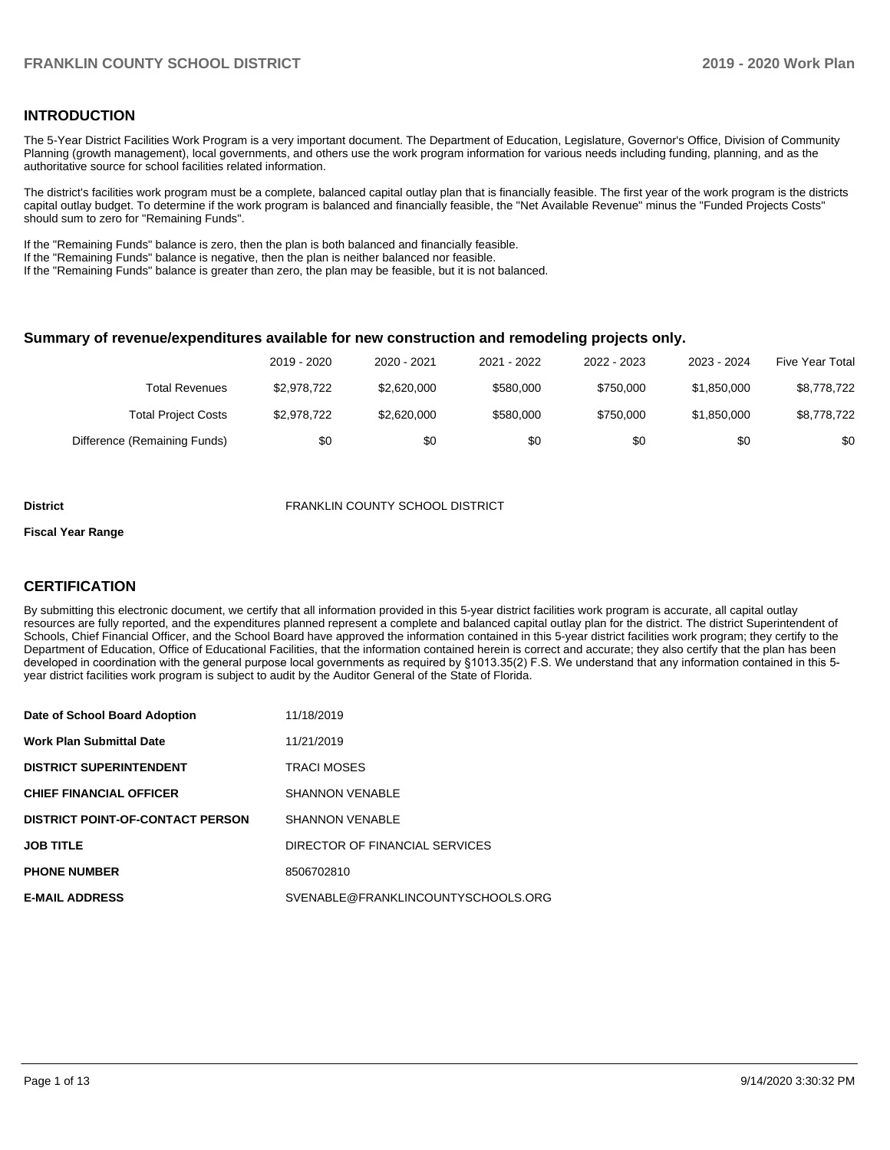### **INTRODUCTION**

The 5-Year District Facilities Work Program is a very important document. The Department of Education, Legislature, Governor's Office, Division of Community Planning (growth management), local governments, and others use the work program information for various needs including funding, planning, and as the authoritative source for school facilities related information.

The district's facilities work program must be a complete, balanced capital outlay plan that is financially feasible. The first year of the work program is the districts capital outlay budget. To determine if the work program is balanced and financially feasible, the "Net Available Revenue" minus the "Funded Projects Costs" should sum to zero for "Remaining Funds".

If the "Remaining Funds" balance is zero, then the plan is both balanced and financially feasible.

If the "Remaining Funds" balance is negative, then the plan is neither balanced nor feasible.

If the "Remaining Funds" balance is greater than zero, the plan may be feasible, but it is not balanced.

#### **Summary of revenue/expenditures available for new construction and remodeling projects only.**

|                              | 2019 - 2020 | 2020 - 2021 | 2021 - 2022 | 2022 - 2023 | 2023 - 2024 | <b>Five Year Total</b> |
|------------------------------|-------------|-------------|-------------|-------------|-------------|------------------------|
| Total Revenues               | \$2.978.722 | \$2,620,000 | \$580,000   | \$750,000   | \$1,850,000 | \$8,778,722            |
| <b>Total Project Costs</b>   | \$2,978,722 | \$2,620,000 | \$580,000   | \$750,000   | \$1,850,000 | \$8,778,722            |
| Difference (Remaining Funds) | \$0         | \$0         | \$0         | \$0         | \$0         | \$0                    |

#### **District** FRANKLIN COUNTY SCHOOL DISTRICT

#### **Fiscal Year Range**

# **CERTIFICATION**

By submitting this electronic document, we certify that all information provided in this 5-year district facilities work program is accurate, all capital outlay resources are fully reported, and the expenditures planned represent a complete and balanced capital outlay plan for the district. The district Superintendent of Schools, Chief Financial Officer, and the School Board have approved the information contained in this 5-year district facilities work program; they certify to the Department of Education, Office of Educational Facilities, that the information contained herein is correct and accurate; they also certify that the plan has been developed in coordination with the general purpose local governments as required by §1013.35(2) F.S. We understand that any information contained in this 5 year district facilities work program is subject to audit by the Auditor General of the State of Florida.

| Date of School Board Adoption           | 11/18/2019                         |
|-----------------------------------------|------------------------------------|
| <b>Work Plan Submittal Date</b>         | 11/21/2019                         |
| <b>DISTRICT SUPERINTENDENT</b>          | <b>TRACI MOSES</b>                 |
| <b>CHIEF FINANCIAL OFFICER</b>          | <b>SHANNON VENABLE</b>             |
| <b>DISTRICT POINT-OF-CONTACT PERSON</b> | <b>SHANNON VENABLE</b>             |
| <b>JOB TITLE</b>                        | DIRECTOR OF FINANCIAL SERVICES     |
| <b>PHONE NUMBER</b>                     | 8506702810                         |
| <b>E-MAIL ADDRESS</b>                   | SVENABLE@FRANKLINCOUNTYSCHOOLS.ORG |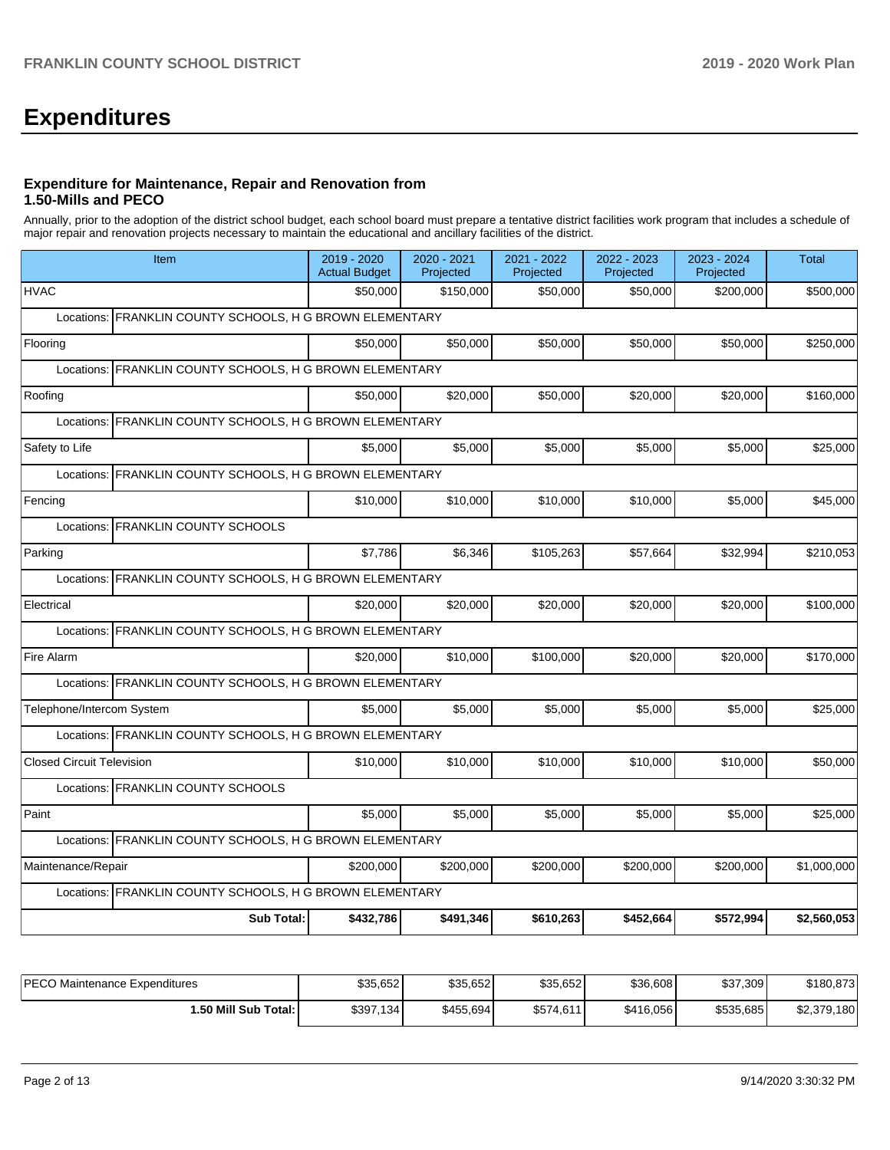# **Expenditures**

# **Expenditure for Maintenance, Repair and Renovation from 1.50-Mills and PECO**

Annually, prior to the adoption of the district school budget, each school board must prepare a tentative district facilities work program that includes a schedule of major repair and renovation projects necessary to maintain the educational and ancillary facilities of the district.

| 2019 - 2020<br><b>Actual Budget</b>                      | 2020 - 2021<br>Projected | 2021 - 2022<br>Projected                                                                                                                                                                                                                                                                                                                                                                                                                         | 2022 - 2023<br>Projected | 2023 - 2024<br>Projected | <b>Total</b> |  |  |  |  |
|----------------------------------------------------------|--------------------------|--------------------------------------------------------------------------------------------------------------------------------------------------------------------------------------------------------------------------------------------------------------------------------------------------------------------------------------------------------------------------------------------------------------------------------------------------|--------------------------|--------------------------|--------------|--|--|--|--|
| \$50,000                                                 | \$150.000                | \$50,000                                                                                                                                                                                                                                                                                                                                                                                                                                         | \$50,000                 | \$200,000                | \$500,000    |  |  |  |  |
|                                                          |                          |                                                                                                                                                                                                                                                                                                                                                                                                                                                  |                          |                          |              |  |  |  |  |
| \$50,000                                                 | \$50,000                 | \$50,000                                                                                                                                                                                                                                                                                                                                                                                                                                         | \$50,000                 | \$50,000                 | \$250,000    |  |  |  |  |
|                                                          |                          |                                                                                                                                                                                                                                                                                                                                                                                                                                                  |                          |                          |              |  |  |  |  |
| \$50,000                                                 | \$20,000                 | \$50,000                                                                                                                                                                                                                                                                                                                                                                                                                                         | \$20,000                 | \$20,000                 | \$160,000    |  |  |  |  |
|                                                          |                          |                                                                                                                                                                                                                                                                                                                                                                                                                                                  |                          |                          |              |  |  |  |  |
| \$5,000                                                  | \$5,000                  | \$5,000                                                                                                                                                                                                                                                                                                                                                                                                                                          | \$5,000                  | \$5,000                  | \$25,000     |  |  |  |  |
|                                                          |                          |                                                                                                                                                                                                                                                                                                                                                                                                                                                  |                          |                          |              |  |  |  |  |
| \$10,000                                                 | \$10,000                 | \$10,000                                                                                                                                                                                                                                                                                                                                                                                                                                         | \$10,000                 | \$5,000                  | \$45,000     |  |  |  |  |
|                                                          |                          |                                                                                                                                                                                                                                                                                                                                                                                                                                                  |                          |                          |              |  |  |  |  |
| \$7,786                                                  | \$6,346                  | \$105,263                                                                                                                                                                                                                                                                                                                                                                                                                                        | \$57,664                 | \$32,994                 | \$210,053    |  |  |  |  |
| Locations: FRANKLIN COUNTY SCHOOLS, H G BROWN ELEMENTARY |                          |                                                                                                                                                                                                                                                                                                                                                                                                                                                  |                          |                          |              |  |  |  |  |
| \$20,000                                                 | \$20.000                 | \$20,000                                                                                                                                                                                                                                                                                                                                                                                                                                         | \$20,000                 | \$20,000                 | \$100,000    |  |  |  |  |
|                                                          |                          |                                                                                                                                                                                                                                                                                                                                                                                                                                                  |                          |                          |              |  |  |  |  |
| \$20,000                                                 | \$10,000                 | \$100,000                                                                                                                                                                                                                                                                                                                                                                                                                                        | \$20,000                 | \$20,000                 | \$170,000    |  |  |  |  |
|                                                          |                          |                                                                                                                                                                                                                                                                                                                                                                                                                                                  |                          |                          |              |  |  |  |  |
| \$5,000                                                  | \$5,000                  | \$5,000                                                                                                                                                                                                                                                                                                                                                                                                                                          | \$5,000                  | \$5.000                  | \$25,000     |  |  |  |  |
|                                                          |                          |                                                                                                                                                                                                                                                                                                                                                                                                                                                  |                          |                          |              |  |  |  |  |
| \$10,000                                                 | \$10,000                 | \$10,000                                                                                                                                                                                                                                                                                                                                                                                                                                         | \$10,000                 | \$10,000                 | \$50,000     |  |  |  |  |
|                                                          |                          |                                                                                                                                                                                                                                                                                                                                                                                                                                                  |                          |                          |              |  |  |  |  |
| \$5,000                                                  | \$5,000                  | \$5,000                                                                                                                                                                                                                                                                                                                                                                                                                                          | \$5,000                  | \$5,000                  | \$25,000     |  |  |  |  |
|                                                          |                          |                                                                                                                                                                                                                                                                                                                                                                                                                                                  |                          |                          |              |  |  |  |  |
|                                                          |                          |                                                                                                                                                                                                                                                                                                                                                                                                                                                  |                          |                          |              |  |  |  |  |
| \$200,000                                                | \$200,000                | \$200,000                                                                                                                                                                                                                                                                                                                                                                                                                                        | \$200,000                | \$200,000                | \$1,000,000  |  |  |  |  |
| Locations: FRANKLIN COUNTY SCHOOLS, H G BROWN ELEMENTARY |                          |                                                                                                                                                                                                                                                                                                                                                                                                                                                  |                          |                          |              |  |  |  |  |
|                                                          |                          | FRANKLIN COUNTY SCHOOLS, H G BROWN ELEMENTARY<br>Locations: FRANKLIN COUNTY SCHOOLS, H G BROWN ELEMENTARY<br>FRANKLIN COUNTY SCHOOLS, H G BROWN ELEMENTARY<br>FRANKLIN COUNTY SCHOOLS, H G BROWN ELEMENTARY<br>FRANKLIN COUNTY SCHOOLS, H G BROWN ELEMENTARY<br>Locations: FRANKLIN COUNTY SCHOOLS, H G BROWN ELEMENTARY<br>Locations: FRANKLIN COUNTY SCHOOLS, H G BROWN ELEMENTARY<br>Locations: FRANKLIN COUNTY SCHOOLS, H G BROWN ELEMENTARY |                          |                          |              |  |  |  |  |

| <b>IPECO Maintenance Expenditures</b> | \$35.652  | \$35,652  | \$35,652  | \$36,608  | \$37,309  | \$180.873   |
|---------------------------------------|-----------|-----------|-----------|-----------|-----------|-------------|
| ا :50 Mill Sub Total.                 | \$397,134 | \$455,694 | \$574,611 | \$416,056 | \$535,685 | \$2,379,180 |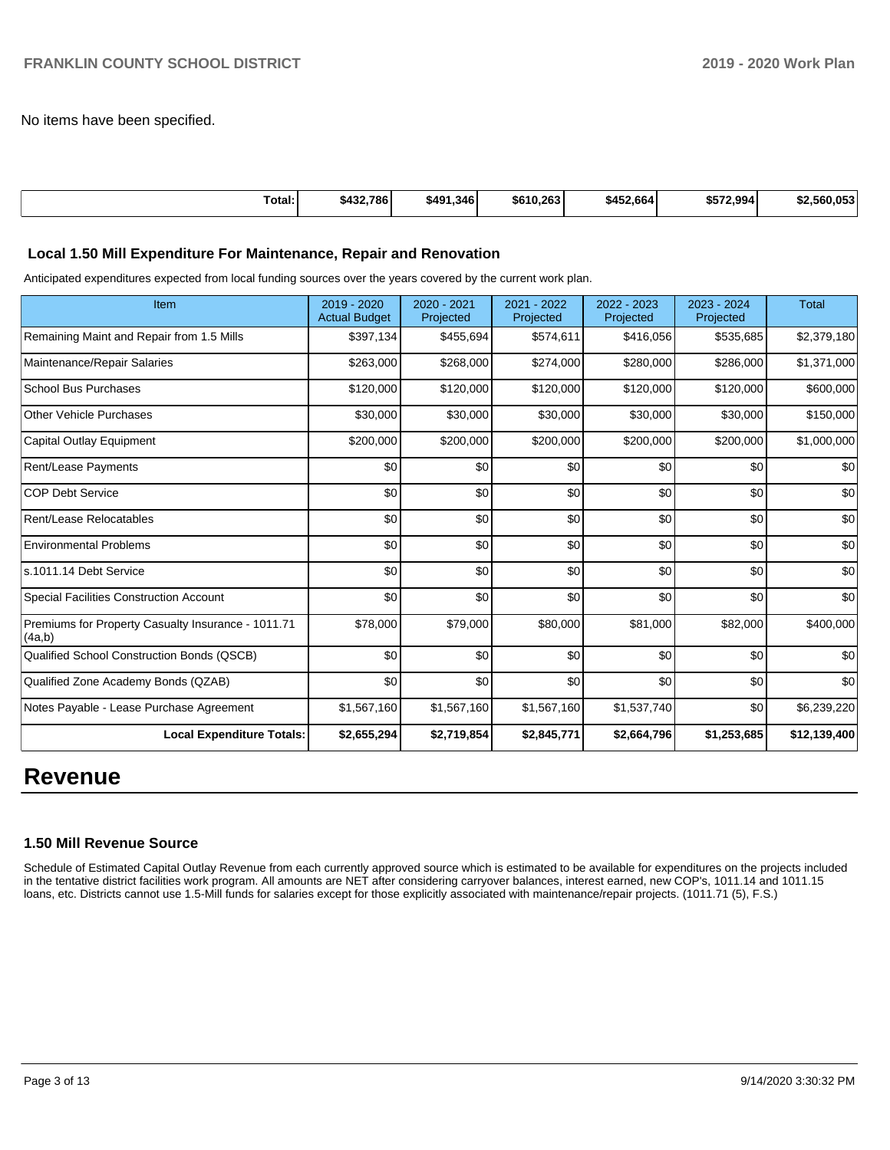No items have been specified.

| Total:<br>. | \$432,786 | \$491.346 | \$610,263 | \$452.664 | \$572.994 | \$2.560.053 |
|-------------|-----------|-----------|-----------|-----------|-----------|-------------|
|             |           |           |           |           |           |             |

#### **Local 1.50 Mill Expenditure For Maintenance, Repair and Renovation**

Anticipated expenditures expected from local funding sources over the years covered by the current work plan.

| Item                                                         | 2019 - 2020<br><b>Actual Budget</b> | 2020 - 2021<br>Projected | 2021 - 2022<br>Projected | 2022 - 2023<br>Projected | 2023 - 2024<br>Projected | <b>Total</b> |
|--------------------------------------------------------------|-------------------------------------|--------------------------|--------------------------|--------------------------|--------------------------|--------------|
| Remaining Maint and Repair from 1.5 Mills                    | \$397,134                           | \$455,694                | \$574,611                | \$416,056                | \$535,685                | \$2,379,180  |
| Maintenance/Repair Salaries                                  | \$263,000                           | \$268,000                | \$274,000                | \$280,000                | \$286,000                | \$1,371,000  |
| <b>School Bus Purchases</b>                                  | \$120,000                           | \$120,000                | \$120,000                | \$120,000                | \$120,000                | \$600,000    |
| <b>Other Vehicle Purchases</b>                               | \$30,000                            | \$30,000                 | \$30,000                 | \$30,000                 | \$30,000                 | \$150,000    |
| <b>Capital Outlay Equipment</b>                              | \$200,000                           | \$200,000                | \$200,000                | \$200,000                | \$200,000                | \$1,000,000  |
| Rent/Lease Payments                                          | \$0                                 | \$0                      | \$0                      | \$0                      | \$0                      | \$0          |
| <b>COP Debt Service</b>                                      | \$0                                 | \$0                      | \$0                      | \$0                      | \$0                      | \$0          |
| Rent/Lease Relocatables                                      | \$0                                 | \$0                      | \$0                      | \$0                      | \$0                      | \$0          |
| <b>Environmental Problems</b>                                | \$0                                 | \$0                      | \$0                      | \$0                      | \$0                      | \$0          |
| s.1011.14 Debt Service                                       | \$0                                 | \$0                      | \$0                      | \$0                      | \$0                      | \$0          |
| <b>Special Facilities Construction Account</b>               | \$0                                 | \$0                      | \$0                      | \$0                      | \$0                      | \$0          |
| Premiums for Property Casualty Insurance - 1011.71<br>(4a,b) | \$78,000                            | \$79,000                 | \$80,000                 | \$81,000                 | \$82,000                 | \$400,000    |
| Qualified School Construction Bonds (QSCB)                   | \$0                                 | \$0                      | \$0                      | \$0                      | \$0                      | \$0          |
| Qualified Zone Academy Bonds (QZAB)                          | \$0                                 | \$0                      | \$0                      | \$0                      | \$0                      | \$0          |
| Notes Payable - Lease Purchase Agreement                     | \$1,567,160                         | \$1,567,160              | \$1,567,160              | \$1,537,740              | \$0                      | \$6,239,220  |
| <b>Local Expenditure Totals:</b>                             | \$2,655,294                         | \$2,719,854              | \$2,845,771              | \$2,664,796              | \$1,253,685              | \$12,139,400 |

# **Revenue**

#### **1.50 Mill Revenue Source**

Schedule of Estimated Capital Outlay Revenue from each currently approved source which is estimated to be available for expenditures on the projects included in the tentative district facilities work program. All amounts are NET after considering carryover balances, interest earned, new COP's, 1011.14 and 1011.15 loans, etc. Districts cannot use 1.5-Mill funds for salaries except for those explicitly associated with maintenance/repair projects. (1011.71 (5), F.S.)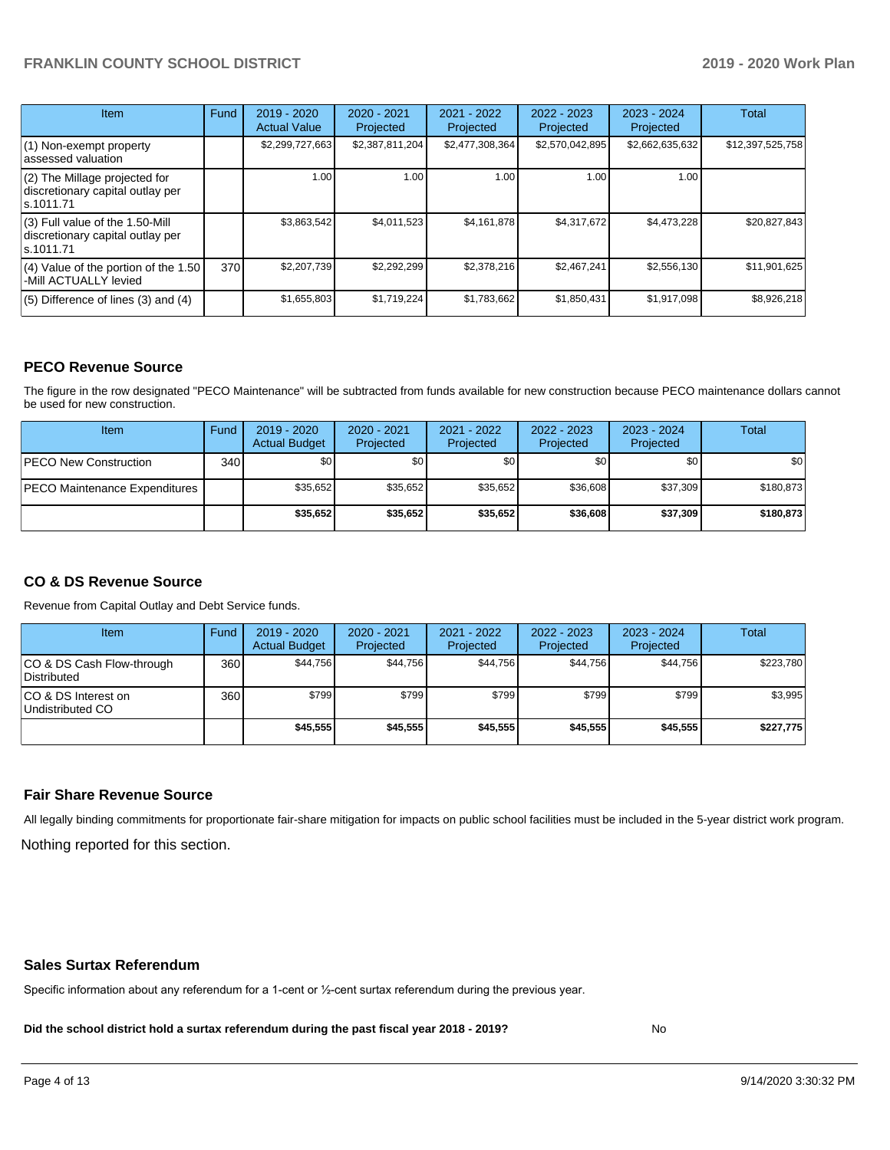# **FRANKLIN COUNTY SCHOOL DISTRICT 2019 - 2020 Work Plan**

| <b>Item</b>                                                                       | Fund | $2019 - 2020$<br><b>Actual Value</b> | 2020 - 2021<br>Projected | 2021 - 2022<br>Projected | 2022 - 2023<br>Projected | $2023 - 2024$<br>Projected | <b>Total</b>     |
|-----------------------------------------------------------------------------------|------|--------------------------------------|--------------------------|--------------------------|--------------------------|----------------------------|------------------|
| $(1)$ Non-exempt property<br>lassessed valuation                                  |      | \$2,299,727,663                      | \$2,387,811,204          | \$2,477,308,364          | \$2,570,042,895          | \$2,662,635,632            | \$12,397,525,758 |
| $(2)$ The Millage projected for<br>discretionary capital outlay per<br>ls.1011.71 |      | 1.00 <sub>l</sub>                    | 1.00                     | 1.00                     | 1.00                     | 1.00                       |                  |
| (3) Full value of the 1.50-Mill<br>discretionary capital outlay per<br>ls.1011.71 |      | \$3,863,542                          | \$4,011,523              | \$4,161,878              | \$4,317,672              | \$4,473,228                | \$20.827.843     |
| (4) Value of the portion of the 1.50<br>-Mill ACTUALLY levied                     | 370  | \$2,207,739                          | \$2,292,299              | \$2,378,216              | \$2,467,241              | \$2,556,130                | \$11,901,625     |
| $(5)$ Difference of lines $(3)$ and $(4)$                                         |      | \$1,655,803                          | \$1,719,224              | \$1,783,662              | \$1,850,431              | \$1,917,098                | \$8,926,218      |

# **PECO Revenue Source**

The figure in the row designated "PECO Maintenance" will be subtracted from funds available for new construction because PECO maintenance dollars cannot be used for new construction.

| <b>Item</b>                          | Fund             | $2019 - 2020$<br><b>Actual Budget</b> | $2020 - 2021$<br>Projected | 2021 - 2022<br>Projected | $2022 - 2023$<br>Projected | 2023 - 2024<br>Projected | Total       |
|--------------------------------------|------------------|---------------------------------------|----------------------------|--------------------------|----------------------------|--------------------------|-------------|
| <b>PECO New Construction</b>         | 340 <sub>l</sub> | \$0                                   | \$0                        | \$0                      | \$0                        | \$0                      | <b>\$01</b> |
| <b>PECO Maintenance Expenditures</b> |                  | \$35,652                              | \$35.652                   | \$35.652                 | \$36,608                   | \$37,309                 | \$180,873   |
|                                      |                  | \$35,652                              | \$35.652                   | \$35.652                 | \$36,608                   | \$37,309                 | \$180.873   |

# **CO & DS Revenue Source**

Revenue from Capital Outlay and Debt Service funds.

| Item                                      | Fund | 2019 - 2020<br><b>Actual Budget</b> | 2020 - 2021<br>Projected | 2021 - 2022<br>Projected | 2022 - 2023<br>Projected | $2023 - 2024$<br>Projected | Total     |
|-------------------------------------------|------|-------------------------------------|--------------------------|--------------------------|--------------------------|----------------------------|-----------|
| ICO & DS Cash Flow-through<br>Distributed | 360  | \$44.756                            | \$44.756                 | \$44.756                 | \$44.756                 | \$44.756                   | \$223,780 |
| ICO & DS Interest on<br>Undistributed CO  | 360  | \$799                               | \$799                    | \$799                    | \$799                    | \$799                      | \$3,995   |
|                                           |      | \$45.555                            | \$45,555                 | \$45,555                 | \$45,555                 | \$45,555                   | \$227,775 |

#### **Fair Share Revenue Source**

Nothing reported for this section. All legally binding commitments for proportionate fair-share mitigation for impacts on public school facilities must be included in the 5-year district work program.

#### **Sales Surtax Referendum**

Specific information about any referendum for a 1-cent or ½-cent surtax referendum during the previous year.

**Did the school district hold a surtax referendum during the past fiscal year 2018 - 2019?**

No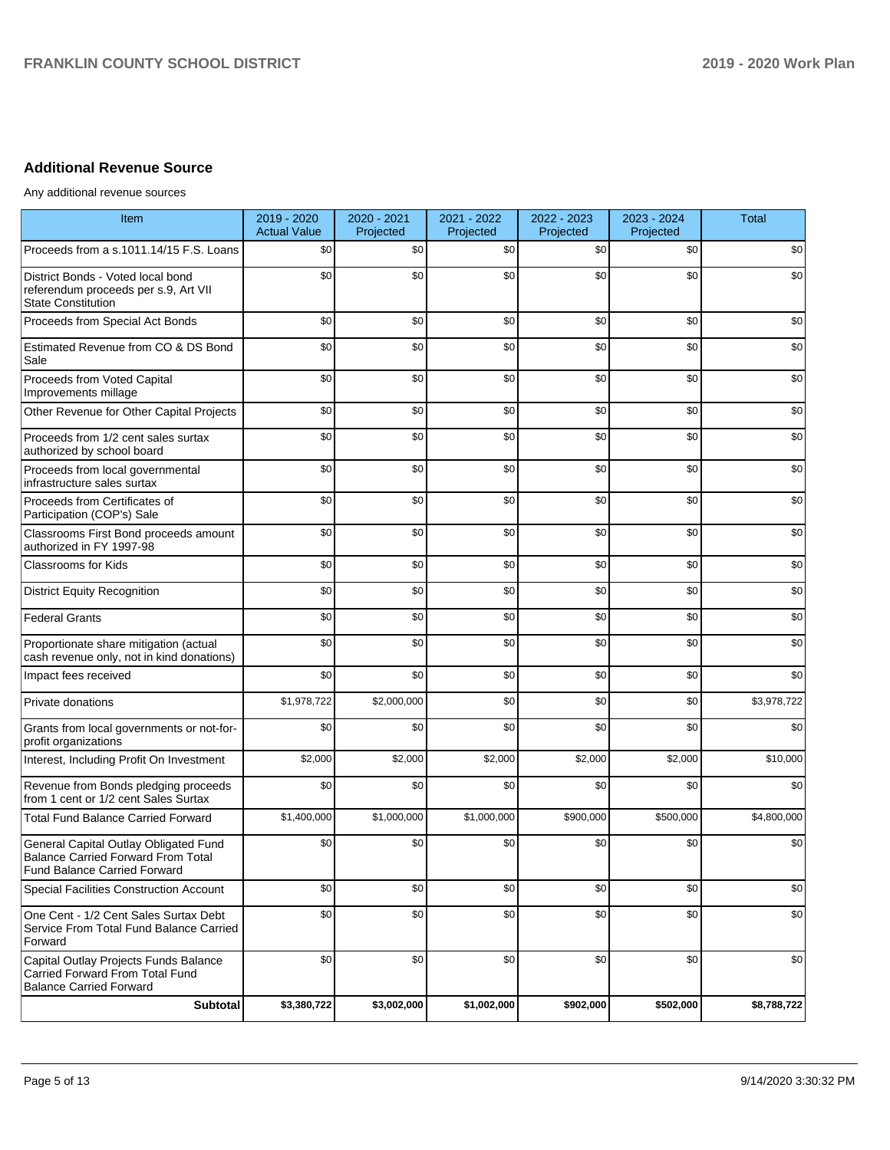# **Additional Revenue Source**

Any additional revenue sources

| Item                                                                                                                      | 2019 - 2020<br><b>Actual Value</b> | 2020 - 2021<br>Projected | 2021 - 2022<br>Projected | 2022 - 2023<br>Projected | 2023 - 2024<br>Projected | <b>Total</b> |
|---------------------------------------------------------------------------------------------------------------------------|------------------------------------|--------------------------|--------------------------|--------------------------|--------------------------|--------------|
| Proceeds from a s.1011.14/15 F.S. Loans                                                                                   | \$0                                | \$0                      | \$0                      | \$0                      | \$0                      | \$0          |
| District Bonds - Voted local bond<br>referendum proceeds per s.9, Art VII<br><b>State Constitution</b>                    | \$0                                | \$0                      | \$0                      | \$0                      | \$0                      | \$0          |
| Proceeds from Special Act Bonds                                                                                           | \$0                                | \$0                      | \$0                      | \$0                      | \$0                      | \$0          |
| Estimated Revenue from CO & DS Bond<br>Sale                                                                               | \$0                                | \$0                      | \$0                      | \$0                      | \$0                      | \$0          |
| Proceeds from Voted Capital<br>Improvements millage                                                                       | \$0                                | \$0                      | \$0                      | \$0                      | \$0                      | \$0          |
| Other Revenue for Other Capital Projects                                                                                  | \$0                                | \$0                      | \$0                      | \$0                      | \$0                      | \$0          |
| Proceeds from 1/2 cent sales surtax<br>authorized by school board                                                         | \$0                                | \$0                      | \$0                      | \$0                      | \$0                      | \$0          |
| Proceeds from local governmental<br>infrastructure sales surtax                                                           | \$0                                | \$0                      | \$0                      | \$0                      | \$0                      | \$0          |
| Proceeds from Certificates of<br>Participation (COP's) Sale                                                               | \$0                                | \$0                      | \$0                      | \$0                      | \$0                      | \$0          |
| Classrooms First Bond proceeds amount<br>authorized in FY 1997-98                                                         | \$0                                | \$0                      | \$0                      | \$0                      | \$0                      | \$0          |
| <b>Classrooms for Kids</b>                                                                                                | \$0                                | \$0                      | \$0                      | \$0                      | \$0                      | \$0          |
| <b>District Equity Recognition</b>                                                                                        | \$0                                | \$0                      | \$0                      | \$0                      | \$0                      | \$0          |
| <b>Federal Grants</b>                                                                                                     | \$0                                | \$0                      | \$0                      | \$0                      | \$0                      | \$0          |
| Proportionate share mitigation (actual<br>cash revenue only, not in kind donations)                                       | \$0                                | \$0                      | \$0                      | \$0                      | \$0                      | \$0          |
| Impact fees received                                                                                                      | \$0                                | \$0                      | \$0                      | \$0                      | \$0                      | \$0          |
| Private donations                                                                                                         | \$1,978,722                        | \$2,000,000              | \$0                      | \$0                      | \$0                      | \$3,978,722  |
| Grants from local governments or not-for-<br>profit organizations                                                         | \$0                                | \$0                      | \$0                      | \$0                      | \$0                      | \$0          |
| Interest, Including Profit On Investment                                                                                  | \$2,000                            | \$2,000                  | \$2,000                  | \$2,000                  | \$2,000                  | \$10,000     |
| Revenue from Bonds pledging proceeds<br>from 1 cent or 1/2 cent Sales Surtax                                              | \$0                                | \$0                      | \$0                      | \$0                      | \$0                      | \$0          |
| <b>Total Fund Balance Carried Forward</b>                                                                                 | \$1,400,000                        | \$1,000,000              | \$1,000,000              | \$900,000                | \$500,000                | \$4,800,000  |
| General Capital Outlay Obligated Fund<br><b>Balance Carried Forward From Total</b><br><b>Fund Balance Carried Forward</b> | \$0                                | \$0                      | \$0                      | \$0                      | \$0                      | \$0          |
| Special Facilities Construction Account                                                                                   | \$0                                | \$0                      | \$0                      | \$0                      | \$0                      | \$0          |
| One Cent - 1/2 Cent Sales Surtax Debt<br>Service From Total Fund Balance Carried<br>Forward                               | \$0                                | \$0                      | \$0                      | \$0                      | \$0                      | \$0          |
| Capital Outlay Projects Funds Balance<br>Carried Forward From Total Fund<br><b>Balance Carried Forward</b>                | \$0                                | \$0                      | \$0                      | \$0                      | \$0                      | \$0          |
| Subtotal                                                                                                                  | \$3,380,722                        | \$3,002,000              | \$1,002,000              | \$902,000                | \$502,000                | \$8,788,722  |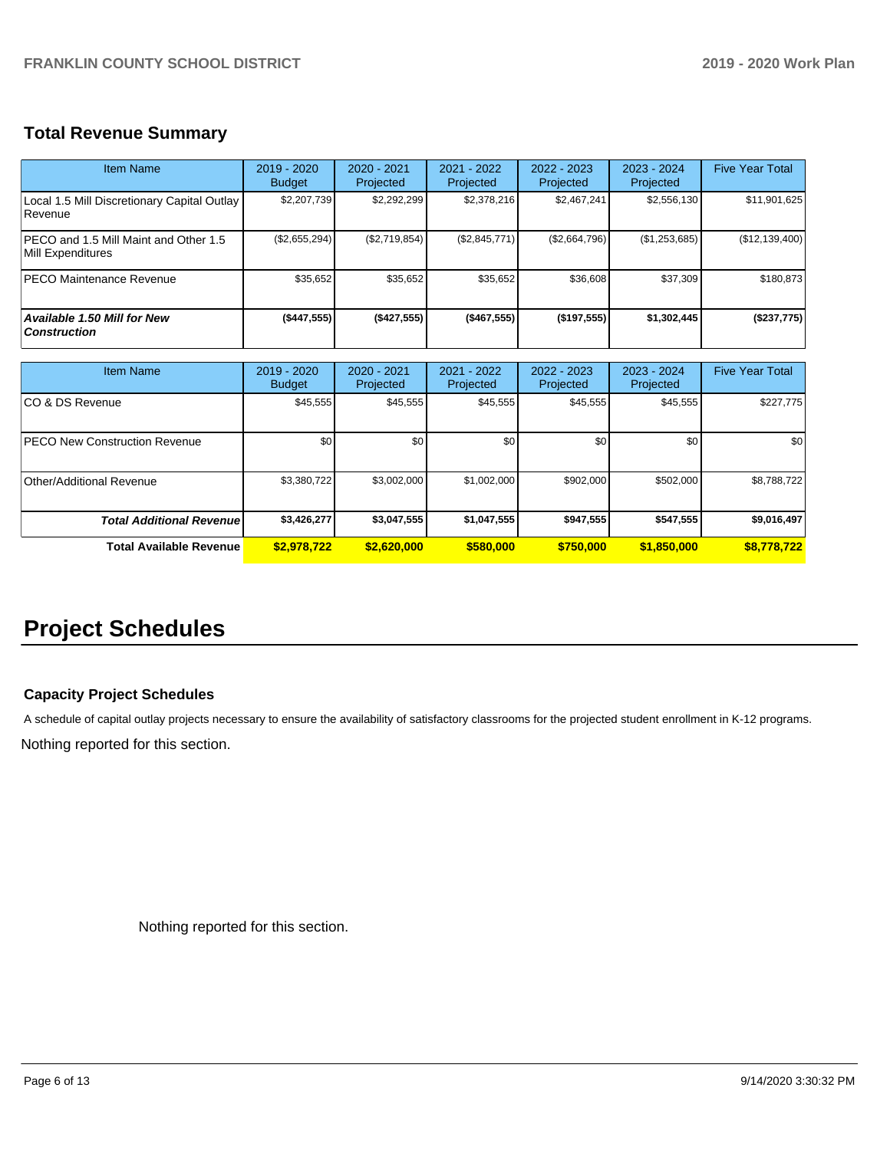# **Total Revenue Summary**

| <b>Item Name</b>                                           | 2019 - 2020<br><b>Budget</b> | $2020 - 2021$<br>Projected | $2021 - 2022$<br><b>Projected</b> | 2022 - 2023<br>Projected | $2023 - 2024$<br>Projected | <b>Five Year Total</b> |
|------------------------------------------------------------|------------------------------|----------------------------|-----------------------------------|--------------------------|----------------------------|------------------------|
| Local 1.5 Mill Discretionary Capital Outlay<br>Revenue     | \$2,207,739                  | \$2,292,299                | \$2,378,216                       | \$2,467,241              | \$2,556,130                | \$11,901,625           |
| PECO and 1.5 Mill Maint and Other 1.5<br>Mill Expenditures | (\$2,655,294)                | (\$2,719,854)              | (\$2,845,771)                     | (\$2,664,796)            | (\$1,253,685)              | (\$12,139,400)         |
| <b>PECO Maintenance Revenue</b>                            | \$35,652                     | \$35,652                   | \$35,652                          | \$36,608                 | \$37,309                   | \$180,873              |
| <b>Available 1.50 Mill for New</b><br><b>Construction</b>  | ( \$447, 555)                | (\$427,555)                | (\$467,555)                       | (\$197,555)              | \$1,302,445                | (\$237,775)            |

| <b>Item Name</b>                     | 2019 - 2020<br><b>Budget</b> | $2020 - 2021$<br>Projected | $2021 - 2022$<br>Projected | $2022 - 2023$<br>Projected | $2023 - 2024$<br>Projected | <b>Five Year Total</b> |
|--------------------------------------|------------------------------|----------------------------|----------------------------|----------------------------|----------------------------|------------------------|
| ICO & DS Revenue                     | \$45,555                     | \$45,555                   | \$45,555                   | \$45,555                   | \$45,555                   | \$227,775              |
| <b>PECO New Construction Revenue</b> | \$0                          | \$0 <sub>1</sub>           | \$0                        | \$0                        | \$0                        | \$0                    |
| Other/Additional Revenue             | \$3,380,722                  | \$3,002,000                | \$1,002,000                | \$902,000                  | \$502,000                  | \$8,788,722            |
| <b>Total Additional Revenuel</b>     | \$3,426,277                  | \$3,047,555                | \$1,047,555                | \$947,555                  | \$547,555                  | \$9,016,497            |
| Total Available Revenue              | \$2,978,722                  | \$2.620,000                | \$580,000                  | \$750,000                  | \$1,850,000                | \$8,778,722            |

# **Project Schedules**

# **Capacity Project Schedules**

A schedule of capital outlay projects necessary to ensure the availability of satisfactory classrooms for the projected student enrollment in K-12 programs.

Nothing reported for this section.

Nothing reported for this section.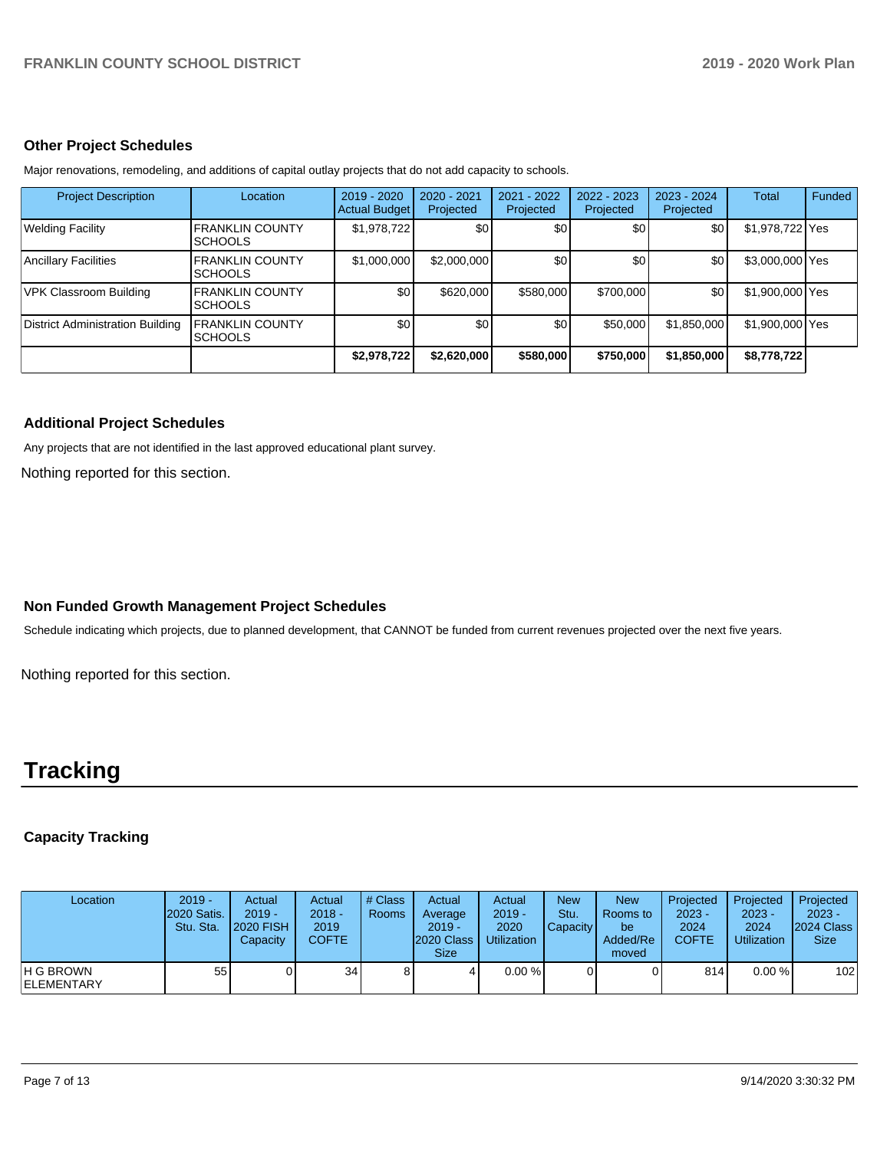### **Other Project Schedules**

Major renovations, remodeling, and additions of capital outlay projects that do not add capacity to schools.

| <b>Project Description</b>              | Location                                  | 2019 - 2020<br><b>Actual Budget</b> | $2020 - 2021$<br>Projected | 2021 - 2022<br>Projected | $2022 - 2023$<br>Projected | $2023 - 2024$<br>Projected | <b>Total</b>    | Funded |
|-----------------------------------------|-------------------------------------------|-------------------------------------|----------------------------|--------------------------|----------------------------|----------------------------|-----------------|--------|
| <b>Welding Facility</b>                 | <b>FRANKLIN COUNTY</b><br><b>SCHOOLS</b>  | \$1,978,722                         | \$0                        | \$0                      | \$0                        | \$0                        | \$1,978,722 Yes |        |
| Ancillary Facilities                    | <b>FRANKLIN COUNTY</b><br><b>ISCHOOLS</b> | \$1,000,000                         | \$2,000,000                | \$0                      | \$0                        | \$0                        | \$3,000,000 Yes |        |
| VPK Classroom Building                  | <b>FRANKLIN COUNTY</b><br><b>SCHOOLS</b>  | \$0                                 | \$620,000                  | \$580,000                | \$700,000                  | \$0                        | \$1,900,000 Yes |        |
| <b>District Administration Building</b> | <b>FRANKLIN COUNTY</b><br><b>SCHOOLS</b>  | \$0                                 | \$0                        | \$0                      | \$50,000                   | \$1,850,000                | \$1,900,000 Yes |        |
|                                         |                                           | \$2,978,722                         | \$2,620,000                | \$580,000                | \$750,000                  | \$1,850,000                | \$8,778,722     |        |

# **Additional Project Schedules**

Any projects that are not identified in the last approved educational plant survey.

Nothing reported for this section.

# **Non Funded Growth Management Project Schedules**

Schedule indicating which projects, due to planned development, that CANNOT be funded from current revenues projected over the next five years.

Nothing reported for this section.

# **Tracking**

# **Capacity Tracking**

| Location                        | $2019 -$<br><b>2020 Satis.</b><br>Stu. Sta. | Actual<br>$2019 -$<br><b>2020 FISH</b><br>Capacity | Actual<br>$2018 -$<br>2019<br><b>COFTE</b> | # Class<br><b>Rooms</b> | Actual<br>Average<br>$2019 -$<br>2020 Class<br><b>Size</b> | Actual<br>$2019 -$<br>2020<br>Utilization | <b>New</b><br>Stu.<br>Capacity | <b>New</b><br>Rooms to<br>be<br>Added/Re<br>moved | Projected<br>$2023 -$<br>2024<br><b>COFTE</b> | Projected<br>$2023 -$<br>2024<br><b>Utilization</b> | Projected<br>$2023 -$<br>2024 Class<br><b>Size</b> |
|---------------------------------|---------------------------------------------|----------------------------------------------------|--------------------------------------------|-------------------------|------------------------------------------------------------|-------------------------------------------|--------------------------------|---------------------------------------------------|-----------------------------------------------|-----------------------------------------------------|----------------------------------------------------|
| H G BROWN<br><b>IELEMENTARY</b> | 55                                          |                                                    | 34 <sub>1</sub>                            | 8                       |                                                            | $0.00 \%$                                 |                                |                                                   | 814                                           | $0.00 \%$                                           | 102                                                |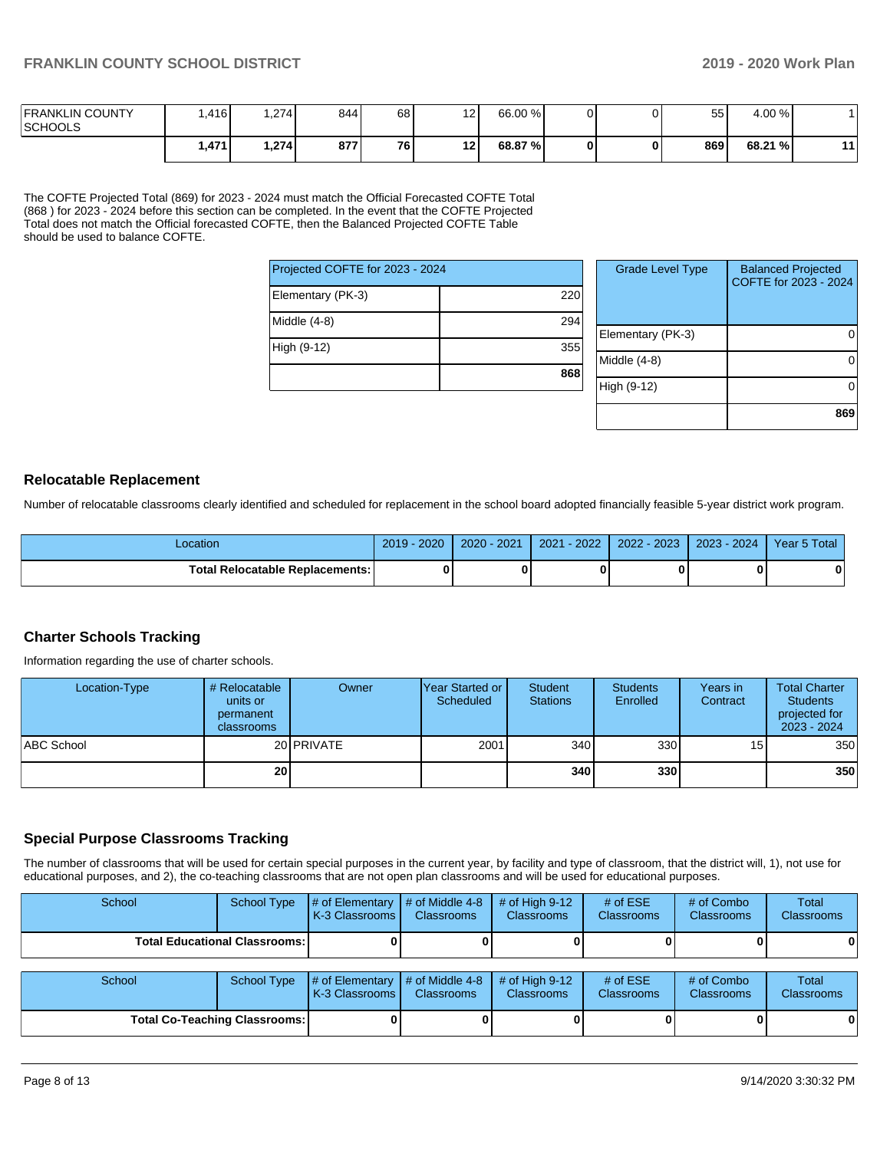| <b>FRANKLIN COUNTY</b><br><b>SCHOOLS</b> | .416 l | .274 | 844 l | 68 | 12 <sub>l</sub> | 66.00 % |    | 55  | 4.00 %  |    |
|------------------------------------------|--------|------|-------|----|-----------------|---------|----|-----|---------|----|
|                                          | .471   | .274 | 877 I | 76 | 12 I            | 68.87 % | 01 | 869 | 68.21 % | 11 |

The COFTE Projected Total (869) for 2023 - 2024 must match the Official Forecasted COFTE Total (868 ) for 2023 - 2024 before this section can be completed. In the event that the COFTE Projected Total does not match the Official forecasted COFTE, then the Balanced Projected COFTE Table should be used to balance COFTE.

| Projected COFTE for 2023 - 2024 |     | Grade L      |
|---------------------------------|-----|--------------|
| Elementary (PK-3)               | 220 |              |
| Middle (4-8)                    | 294 |              |
| High (9-12)                     | 355 | Elementary   |
|                                 | 868 | Middle (4-8) |
|                                 |     | High (9-12)  |

| <b>Grade Level Type</b> | <b>Balanced Projected</b><br>COFTE for 2023 - 2024 |
|-------------------------|----------------------------------------------------|
| Elementary (PK-3)       |                                                    |
| Middle $(4-8)$          |                                                    |
| High (9-12)             |                                                    |
|                         | 869                                                |

#### **Relocatable Replacement**

Number of relocatable classrooms clearly identified and scheduled for replacement in the school board adopted financially feasible 5-year district work program.

| Location                               | $-2020$<br>$2019 -$ | $2020 - 2021$ | $2021 - 2022$ | 2022 - 2023 | 2023 - 2024 | Year 5 Total |
|----------------------------------------|---------------------|---------------|---------------|-------------|-------------|--------------|
| <b>Total Relocatable Replacements:</b> |                     |               |               |             |             |              |

#### **Charter Schools Tracking**

Information regarding the use of charter schools.

| Location-Type | # Relocatable<br>units or<br>permanent<br>classrooms | Owner             | IYear Started or I<br>Scheduled | <b>Student</b><br><b>Stations</b> | <b>Students</b><br>Enrolled | Years in<br>Contract | <b>Total Charter</b><br><b>Students</b><br>projected for<br>2023 - 2024 |
|---------------|------------------------------------------------------|-------------------|---------------------------------|-----------------------------------|-----------------------------|----------------------|-------------------------------------------------------------------------|
| ABC School    |                                                      | 20 <b>PRIVATE</b> | 2001                            | 340                               | 330                         | 15 <sub>1</sub>      | 350                                                                     |
|               | 20 <sub>l</sub>                                      |                   |                                 | 340                               | 330                         |                      | 350                                                                     |

### **Special Purpose Classrooms Tracking**

The number of classrooms that will be used for certain special purposes in the current year, by facility and type of classroom, that the district will, 1), not use for educational purposes, and 2), the co-teaching classrooms that are not open plan classrooms and will be used for educational purposes.

| School                               | School Type | $\parallel \#$ of Elementary $\parallel \#$ of Middle 4-8<br>K-3 Classrooms I | <b>Classrooms</b> | $#$ of High 9-12<br><b>Classrooms</b> | # of $ESE$<br><b>Classrooms</b> | # of Combo<br><b>Classrooms</b> | Total<br><b>Classrooms</b> |
|--------------------------------------|-------------|-------------------------------------------------------------------------------|-------------------|---------------------------------------|---------------------------------|---------------------------------|----------------------------|
| <b>Total Educational Classrooms:</b> |             |                                                                               |                   |                                       |                                 |                                 | $\mathbf{0}$               |
|                                      |             |                                                                               |                   |                                       |                                 |                                 |                            |
| School                               | School Type | $\#$ of Elementary $\#$ of Middle 4-8<br>K-3 Classrooms Classrooms            |                   | $\#$ of High 9-12<br>Classrooms       | # of $ESE$<br>Classrooms        | # of Combo<br>Classrooms        | Total<br>Classrooms        |

| School                               | School Type | $\parallel \#$ of Elementary $\parallel \#$ of Middle 4-8 $\parallel \#$ of High 9-12<br><b>K-3 Classrooms</b> | <b>Classrooms</b> | <b>Classrooms</b> | # of $ESE$<br><b>Classrooms</b> | # of Combo<br><b>Classrooms</b> | Total<br><b>Classrooms</b> |
|--------------------------------------|-------------|----------------------------------------------------------------------------------------------------------------|-------------------|-------------------|---------------------------------|---------------------------------|----------------------------|
| <b>Total Co-Teaching Classrooms:</b> |             |                                                                                                                |                   | 0                 |                                 |                                 |                            |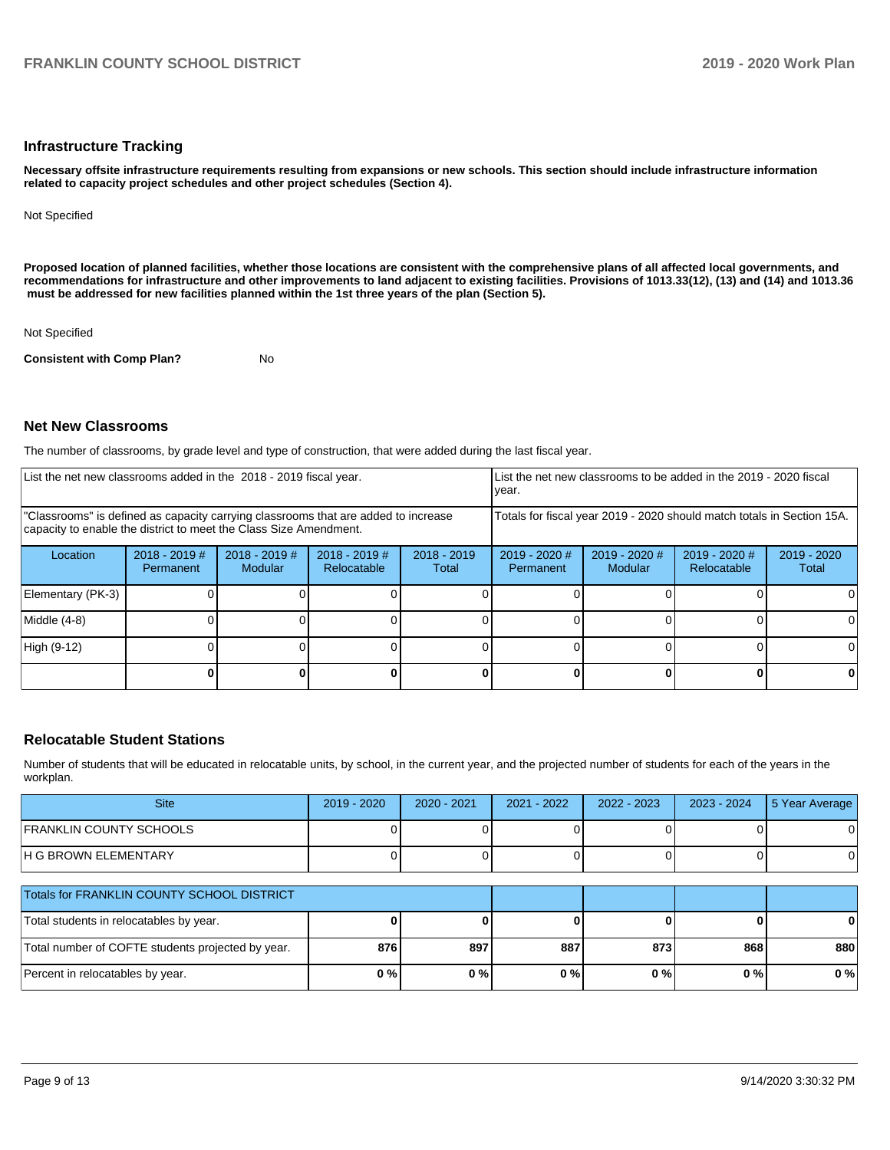#### **Infrastructure Tracking**

**Necessary offsite infrastructure requirements resulting from expansions or new schools. This section should include infrastructure information related to capacity project schedules and other project schedules (Section 4).** 

Not Specified

**Proposed location of planned facilities, whether those locations are consistent with the comprehensive plans of all affected local governments, and recommendations for infrastructure and other improvements to land adjacent to existing facilities. Provisions of 1013.33(12), (13) and (14) and 1013.36 must be addressed for new facilities planned within the 1st three years of the plan (Section 5).** 

Not Specified

**Consistent with Comp Plan?** No

# **Net New Classrooms**

The number of classrooms, by grade level and type of construction, that were added during the last fiscal year.

| List the net new classrooms added in the 2018 - 2019 fiscal year.                                                                                       | List the net new classrooms to be added in the 2019 - 2020 fiscal<br>year. |                                   |                                |                        |                                                                        |                            |                                |                        |  |
|---------------------------------------------------------------------------------------------------------------------------------------------------------|----------------------------------------------------------------------------|-----------------------------------|--------------------------------|------------------------|------------------------------------------------------------------------|----------------------------|--------------------------------|------------------------|--|
| "Classrooms" is defined as capacity carrying classrooms that are added to increase<br>capacity to enable the district to meet the Class Size Amendment. |                                                                            |                                   |                                |                        | Totals for fiscal year 2019 - 2020 should match totals in Section 15A. |                            |                                |                        |  |
| Location                                                                                                                                                | $2018 - 2019$ #<br>Permanent                                               | $2018 - 2019$ #<br><b>Modular</b> | $2018 - 2019$ #<br>Relocatable | $2018 - 2019$<br>Total | $2019 - 2020$ #<br>Permanent                                           | $2019 - 2020$ #<br>Modular | $2019 - 2020$ #<br>Relocatable | $2019 - 2020$<br>Total |  |
| Elementary (PK-3)                                                                                                                                       |                                                                            |                                   |                                |                        |                                                                        |                            |                                |                        |  |
| Middle (4-8)                                                                                                                                            |                                                                            |                                   |                                |                        |                                                                        |                            |                                |                        |  |
| High (9-12)                                                                                                                                             |                                                                            |                                   |                                |                        |                                                                        |                            |                                |                        |  |
|                                                                                                                                                         |                                                                            |                                   |                                |                        |                                                                        |                            |                                |                        |  |

#### **Relocatable Student Stations**

Number of students that will be educated in relocatable units, by school, in the current year, and the projected number of students for each of the years in the workplan.

| <b>Site</b>                                       | 2019 - 2020 | $2020 - 2021$ | 2021 - 2022 | $2022 - 2023$ | $2023 - 2024$ | 5 Year Average |
|---------------------------------------------------|-------------|---------------|-------------|---------------|---------------|----------------|
| <b>FRANKLIN COUNTY SCHOOLS</b>                    |             |               |             |               |               |                |
| H G BROWN ELEMENTARY                              |             |               |             |               |               | 0              |
| Totals for FRANKLIN COUNTY SCHOOL DISTRICT        |             |               |             |               |               |                |
| Total students in relocatables by year.           |             |               |             |               |               | 0              |
| Total number of COFTE students projected by year. | 876         | 897           | 887         | 873           | 868           | 880            |
| Percent in relocatables by year.                  | 0%          | 0%            | 0%          | 0%            | $0\%$         | 0%             |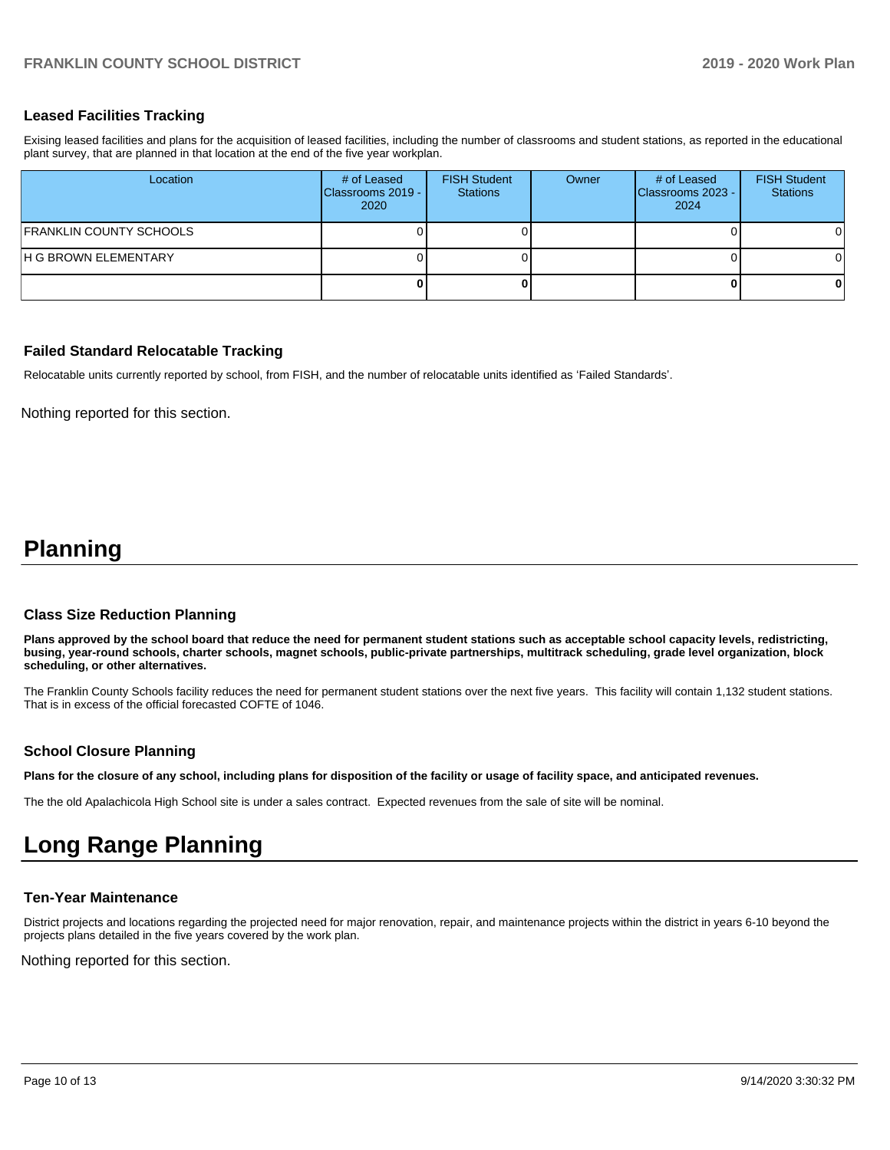# **Leased Facilities Tracking**

Exising leased facilities and plans for the acquisition of leased facilities, including the number of classrooms and student stations, as reported in the educational plant survey, that are planned in that location at the end of the five year workplan.

| Location                | # of Leased<br>Classrooms 2019 - I<br>2020 | <b>FISH Student</b><br><b>Stations</b> | Owner | # of Leased<br>Classrooms 2023 -<br>2024 | <b>FISH Student</b><br><b>Stations</b> |
|-------------------------|--------------------------------------------|----------------------------------------|-------|------------------------------------------|----------------------------------------|
| FRANKLIN COUNTY SCHOOLS |                                            |                                        |       |                                          |                                        |
| H G BROWN ELEMENTARY    |                                            |                                        |       |                                          |                                        |
|                         |                                            |                                        |       |                                          |                                        |

# **Failed Standard Relocatable Tracking**

Relocatable units currently reported by school, from FISH, and the number of relocatable units identified as 'Failed Standards'.

Nothing reported for this section.

# **Planning**

#### **Class Size Reduction Planning**

**Plans approved by the school board that reduce the need for permanent student stations such as acceptable school capacity levels, redistricting, busing, year-round schools, charter schools, magnet schools, public-private partnerships, multitrack scheduling, grade level organization, block scheduling, or other alternatives.**

The Franklin County Schools facility reduces the need for permanent student stations over the next five years. This facility will contain 1,132 student stations. That is in excess of the official forecasted COFTE of 1046.

#### **School Closure Planning**

**Plans for the closure of any school, including plans for disposition of the facility or usage of facility space, and anticipated revenues.** 

The the old Apalachicola High School site is under a sales contract. Expected revenues from the sale of site will be nominal.

# **Long Range Planning**

#### **Ten-Year Maintenance**

District projects and locations regarding the projected need for major renovation, repair, and maintenance projects within the district in years 6-10 beyond the projects plans detailed in the five years covered by the work plan.

Nothing reported for this section.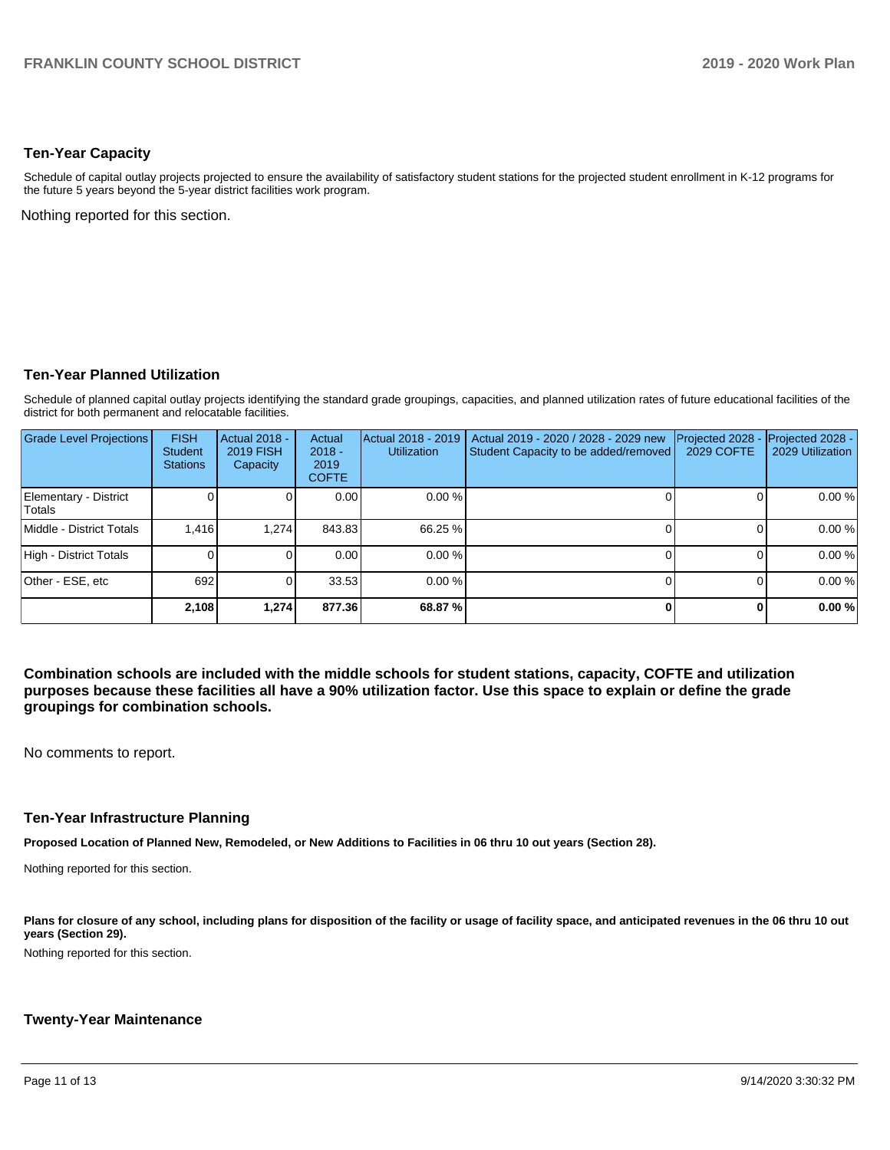# **Ten-Year Capacity**

Schedule of capital outlay projects projected to ensure the availability of satisfactory student stations for the projected student enrollment in K-12 programs for the future 5 years beyond the 5-year district facilities work program.

Nothing reported for this section.

# **Ten-Year Planned Utilization**

Schedule of planned capital outlay projects identifying the standard grade groupings, capacities, and planned utilization rates of future educational facilities of the district for both permanent and relocatable facilities.

| <b>Grade Level Projections</b>  | <b>FISH</b><br><b>Student</b><br><b>Stations</b> | <b>Actual 2018 -</b><br><b>2019 FISH</b><br>Capacity | Actual<br>$2018 -$<br>2019<br><b>COFTE</b> | Actual 2018 - 2019<br><b>Utilization</b> | Actual 2019 - 2020 / 2028 - 2029 new<br>Student Capacity to be added/removed | Projected 2028<br><b>2029 COFTE</b> | Projected 2028 -<br>2029 Utilization |
|---------------------------------|--------------------------------------------------|------------------------------------------------------|--------------------------------------------|------------------------------------------|------------------------------------------------------------------------------|-------------------------------------|--------------------------------------|
| Elementary - District<br>Totals |                                                  |                                                      | 0.00                                       | 0.00%                                    |                                                                              |                                     | 0.00%                                |
| Middle - District Totals        | 1.416                                            | 1.274                                                | 843.83                                     | 66.25 %                                  |                                                                              |                                     | 0.00%                                |
| High - District Totals          |                                                  |                                                      | 0.00                                       | 0.00%                                    |                                                                              |                                     | 0.00%                                |
| Other - ESE, etc                | 692                                              |                                                      | 33.53                                      | 0.00%                                    |                                                                              |                                     | 0.00%                                |
|                                 | 2,108                                            | 1.274                                                | 877.36                                     | 68.87 %                                  |                                                                              |                                     | 0.00%                                |

**Combination schools are included with the middle schools for student stations, capacity, COFTE and utilization purposes because these facilities all have a 90% utilization factor. Use this space to explain or define the grade groupings for combination schools.** 

No comments to report.

### **Ten-Year Infrastructure Planning**

**Proposed Location of Planned New, Remodeled, or New Additions to Facilities in 06 thru 10 out years (Section 28).**

Nothing reported for this section.

Plans for closure of any school, including plans for disposition of the facility or usage of facility space, and anticipated revenues in the 06 thru 10 out **years (Section 29).**

Nothing reported for this section.

#### **Twenty-Year Maintenance**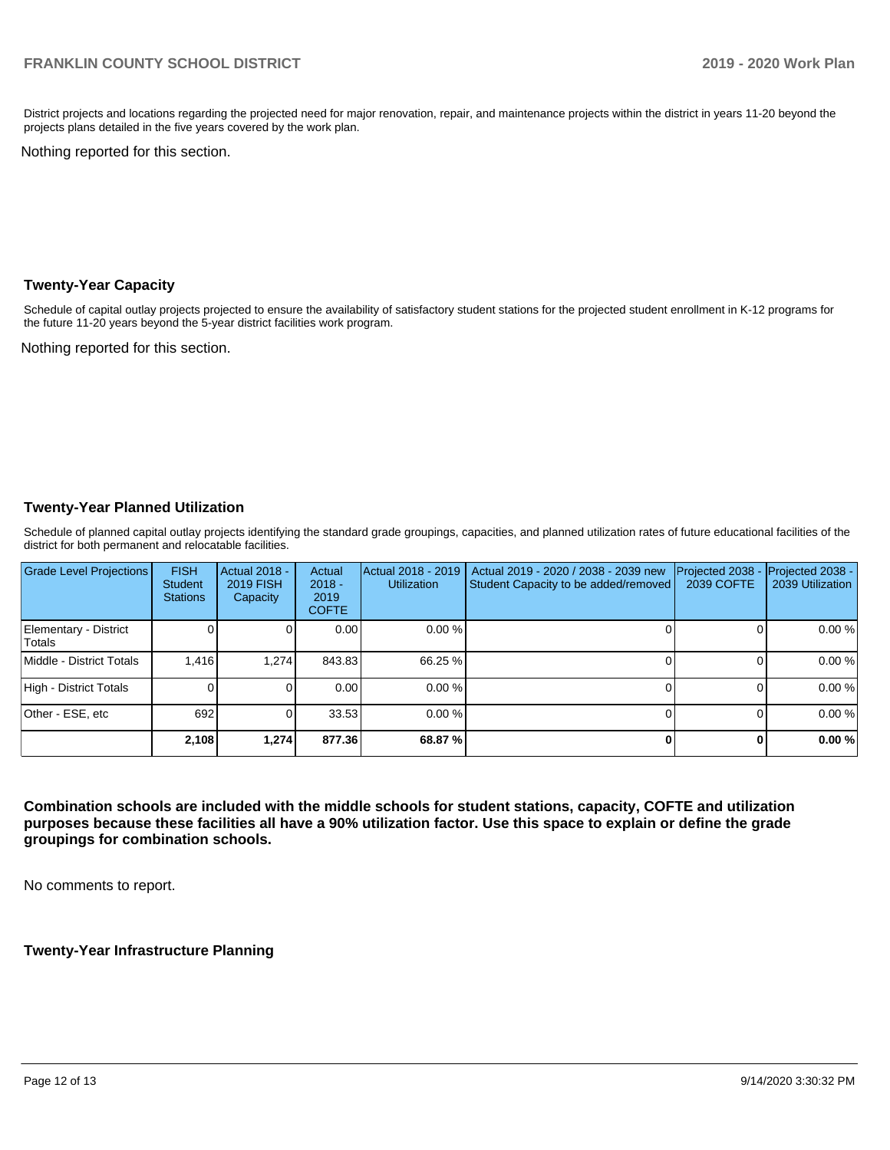District projects and locations regarding the projected need for major renovation, repair, and maintenance projects within the district in years 11-20 beyond the projects plans detailed in the five years covered by the work plan.

Nothing reported for this section.

#### **Twenty-Year Capacity**

Schedule of capital outlay projects projected to ensure the availability of satisfactory student stations for the projected student enrollment in K-12 programs for the future 11-20 years beyond the 5-year district facilities work program.

Nothing reported for this section.

# **Twenty-Year Planned Utilization**

Schedule of planned capital outlay projects identifying the standard grade groupings, capacities, and planned utilization rates of future educational facilities of the district for both permanent and relocatable facilities.

| <b>Grade Level Projections</b>  | <b>FISH</b><br><b>Student</b><br><b>Stations</b> | Actual 2018 -<br><b>2019 FISH</b><br>Capacity | Actual<br>$2018 -$<br>2019<br><b>COFTE</b> | Actual 2018 - 2019<br><b>Utilization</b> | Actual 2019 - 2020 / 2038 - 2039 new<br>Student Capacity to be added/removed | Projected 2038<br>2039 COFTE | Projected 2038 -<br>2039 Utilization |
|---------------------------------|--------------------------------------------------|-----------------------------------------------|--------------------------------------------|------------------------------------------|------------------------------------------------------------------------------|------------------------------|--------------------------------------|
| Elementary - District<br>Totals |                                                  |                                               | 0.00                                       | 0.00%                                    |                                                                              | ΩI                           | 0.00%                                |
| Middle - District Totals        | 1.416                                            | 1.274                                         | 843.83                                     | 66.25 %                                  |                                                                              |                              | 0.00%                                |
| High - District Totals          |                                                  |                                               | 0.00                                       | 0.00%                                    |                                                                              |                              | 0.00%                                |
| Other - ESE, etc                | 692                                              |                                               | 33.53                                      | 0.00%                                    |                                                                              |                              | 0.00%                                |
|                                 | 2,108                                            | 1,274                                         | 877.36                                     | 68.87%                                   |                                                                              | 01                           | 0.00%                                |

**Combination schools are included with the middle schools for student stations, capacity, COFTE and utilization purposes because these facilities all have a 90% utilization factor. Use this space to explain or define the grade groupings for combination schools.** 

No comments to report.

**Twenty-Year Infrastructure Planning**